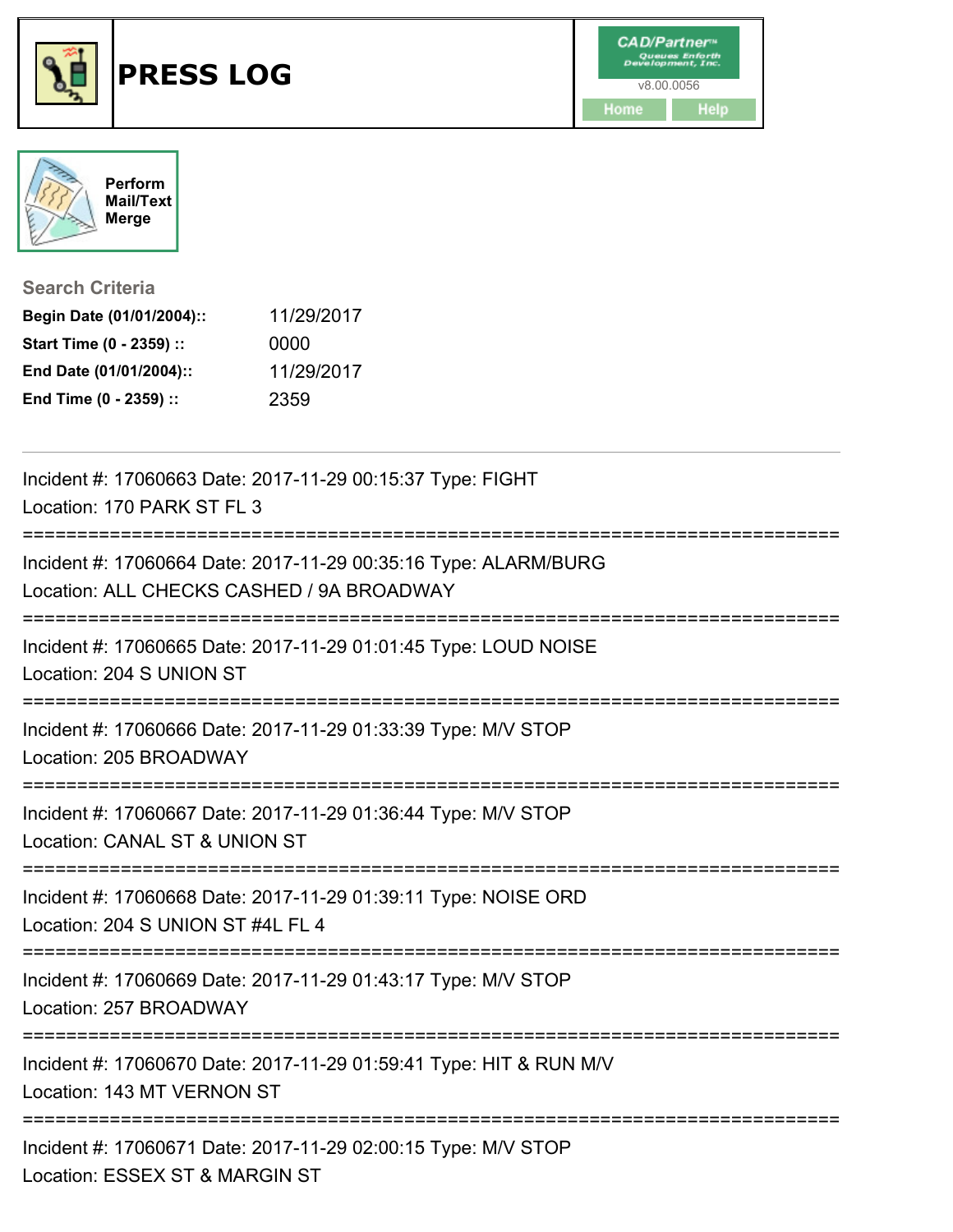





| <b>Search Criteria</b>    |            |
|---------------------------|------------|
| Begin Date (01/01/2004):: | 11/29/2017 |
| Start Time (0 - 2359) ::  | 0000       |
| End Date (01/01/2004)::   | 11/29/2017 |
| End Time (0 - 2359) ::    | 2359       |

| Incident #: 17060663 Date: 2017-11-29 00:15:37 Type: FIGHT<br>Location: 170 PARK ST FL 3                                          |
|-----------------------------------------------------------------------------------------------------------------------------------|
| -----------------<br>Incident #: 17060664 Date: 2017-11-29 00:35:16 Type: ALARM/BURG<br>Location: ALL CHECKS CASHED / 9A BROADWAY |
| Incident #: 17060665 Date: 2017-11-29 01:01:45 Type: LOUD NOISE<br>Location: 204 S UNION ST                                       |
| Incident #: 17060666 Date: 2017-11-29 01:33:39 Type: M/V STOP<br>Location: 205 BROADWAY                                           |
| Incident #: 17060667 Date: 2017-11-29 01:36:44 Type: M/V STOP<br>Location: CANAL ST & UNION ST                                    |
| Incident #: 17060668 Date: 2017-11-29 01:39:11 Type: NOISE ORD<br>Location: 204 S UNION ST #4L FL 4                               |
| Incident #: 17060669 Date: 2017-11-29 01:43:17 Type: M/V STOP<br>Location: 257 BROADWAY                                           |
| Incident #: 17060670 Date: 2017-11-29 01:59:41 Type: HIT & RUN M/V<br>Location: 143 MT VERNON ST                                  |
| Incident #: 17060671 Date: 2017-11-29 02:00:15 Type: M/V STOP<br>Location: ESSEX ST & MARGIN ST                                   |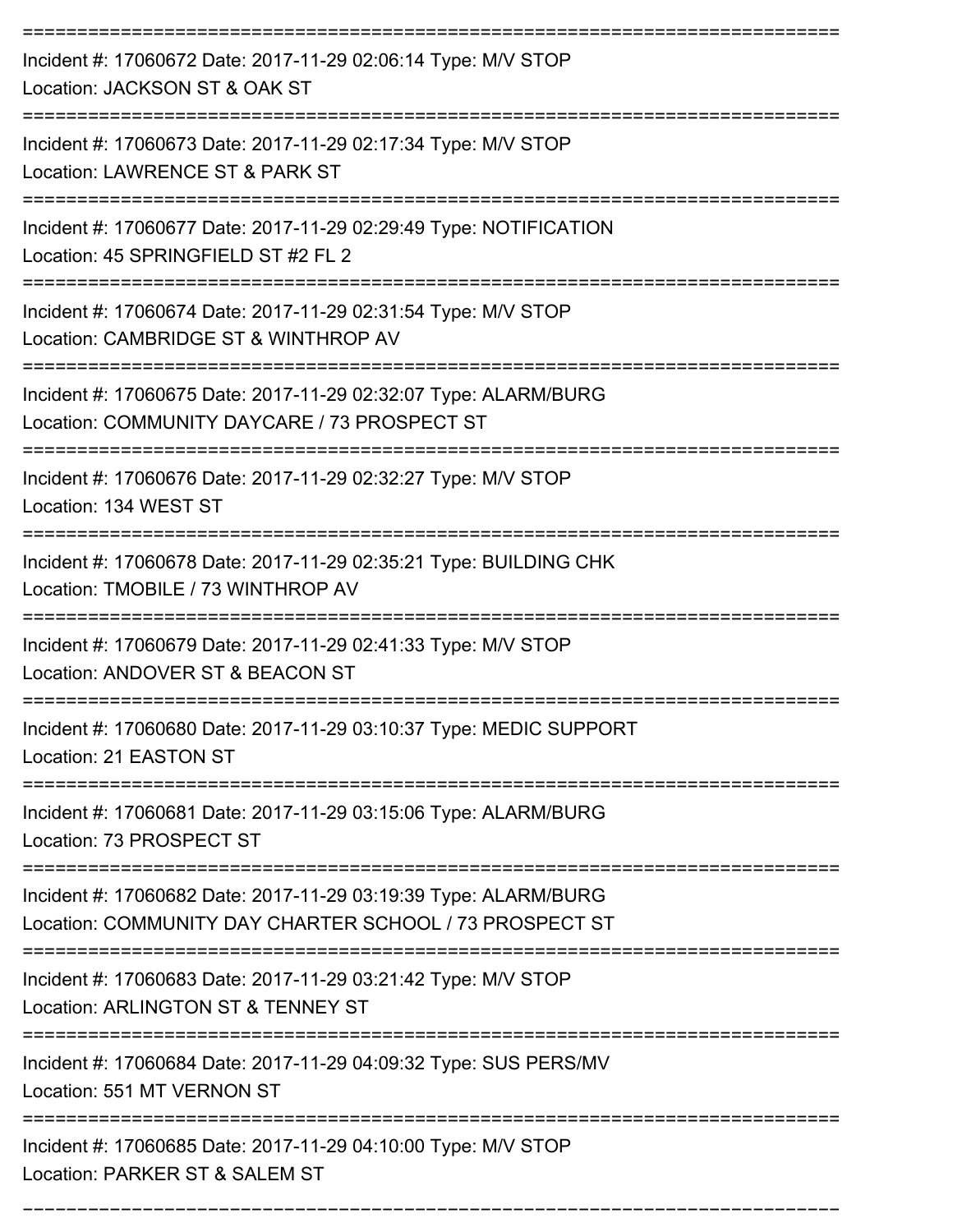| Incident #: 17060672 Date: 2017-11-29 02:06:14 Type: M/V STOP<br>Location: JACKSON ST & OAK ST                             |
|----------------------------------------------------------------------------------------------------------------------------|
| Incident #: 17060673 Date: 2017-11-29 02:17:34 Type: M/V STOP<br>Location: LAWRENCE ST & PARK ST                           |
| Incident #: 17060677 Date: 2017-11-29 02:29:49 Type: NOTIFICATION<br>Location: 45 SPRINGFIELD ST #2 FL 2                   |
| Incident #: 17060674 Date: 2017-11-29 02:31:54 Type: M/V STOP<br>Location: CAMBRIDGE ST & WINTHROP AV                      |
| Incident #: 17060675 Date: 2017-11-29 02:32:07 Type: ALARM/BURG<br>Location: COMMUNITY DAYCARE / 73 PROSPECT ST            |
| Incident #: 17060676 Date: 2017-11-29 02:32:27 Type: M/V STOP<br>Location: 134 WEST ST                                     |
| Incident #: 17060678 Date: 2017-11-29 02:35:21 Type: BUILDING CHK<br>Location: TMOBILE / 73 WINTHROP AV                    |
| Incident #: 17060679 Date: 2017-11-29 02:41:33 Type: M/V STOP<br>Location: ANDOVER ST & BEACON ST                          |
| Incident #: 17060680 Date: 2017-11-29 03:10:37 Type: MEDIC SUPPORT<br>Location: 21 EASTON ST                               |
| Incident #: 17060681 Date: 2017-11-29 03:15:06 Type: ALARM/BURG<br>Location: 73 PROSPECT ST                                |
| Incident #: 17060682 Date: 2017-11-29 03:19:39 Type: ALARM/BURG<br>Location: COMMUNITY DAY CHARTER SCHOOL / 73 PROSPECT ST |
| Incident #: 17060683 Date: 2017-11-29 03:21:42 Type: M/V STOP<br>Location: ARLINGTON ST & TENNEY ST                        |
| Incident #: 17060684 Date: 2017-11-29 04:09:32 Type: SUS PERS/MV<br>Location: 551 MT VERNON ST                             |
| Incident #: 17060685 Date: 2017-11-29 04:10:00 Type: M/V STOP<br>Location: PARKER ST & SALEM ST                            |

===========================================================================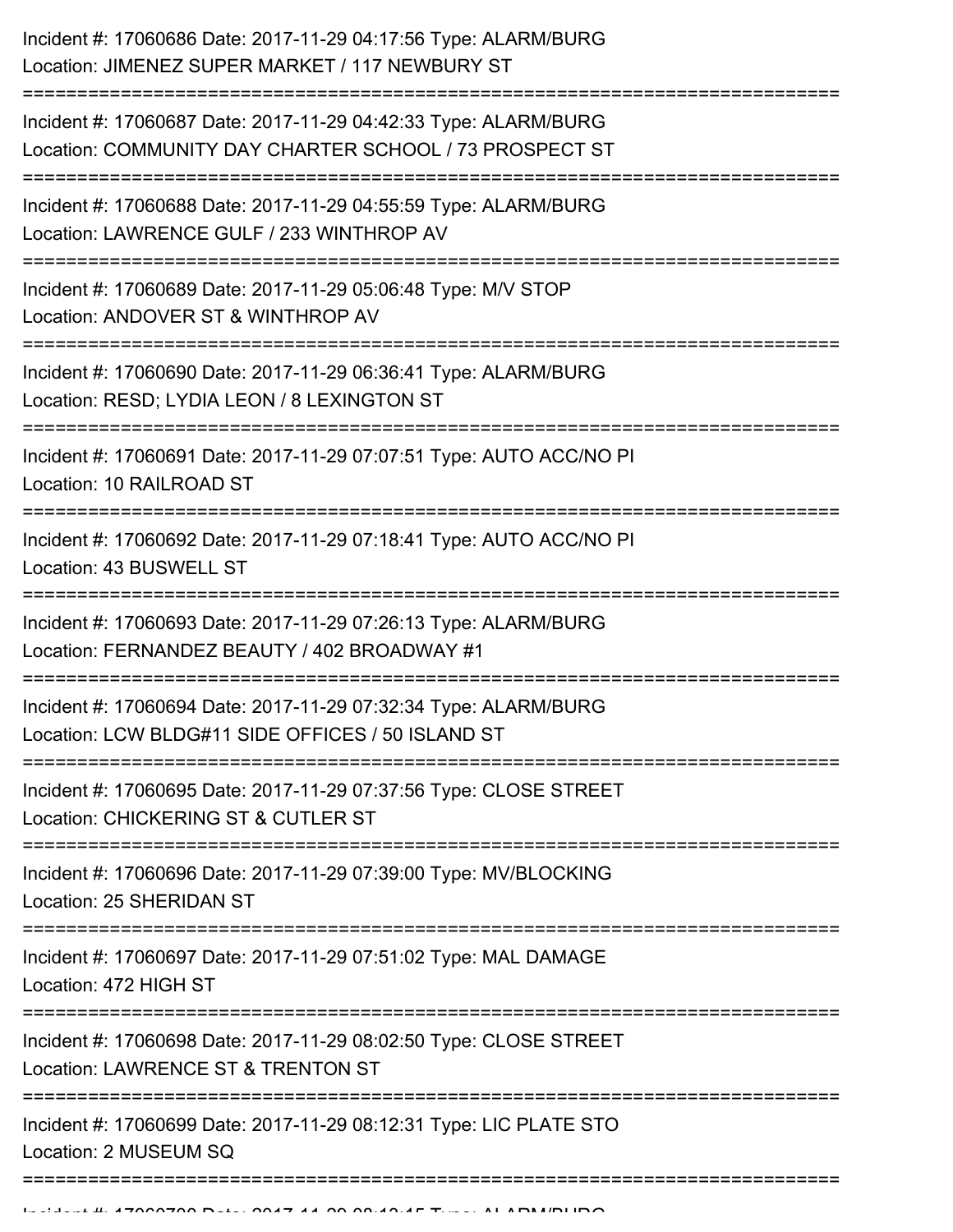| Incident #: 17060686 Date: 2017-11-29 04:17:56 Type: ALARM/BURG<br>Location: JIMENEZ SUPER MARKET / 117 NEWBURY ST         |
|----------------------------------------------------------------------------------------------------------------------------|
| Incident #: 17060687 Date: 2017-11-29 04:42:33 Type: ALARM/BURG<br>Location: COMMUNITY DAY CHARTER SCHOOL / 73 PROSPECT ST |
| Incident #: 17060688 Date: 2017-11-29 04:55:59 Type: ALARM/BURG<br>Location: LAWRENCE GULF / 233 WINTHROP AV               |
| Incident #: 17060689 Date: 2017-11-29 05:06:48 Type: M/V STOP<br>Location: ANDOVER ST & WINTHROP AV                        |
| Incident #: 17060690 Date: 2017-11-29 06:36:41 Type: ALARM/BURG<br>Location: RESD; LYDIA LEON / 8 LEXINGTON ST             |
| Incident #: 17060691 Date: 2017-11-29 07:07:51 Type: AUTO ACC/NO PI<br>Location: 10 RAILROAD ST                            |
| Incident #: 17060692 Date: 2017-11-29 07:18:41 Type: AUTO ACC/NO PI<br>Location: 43 BUSWELL ST                             |
| Incident #: 17060693 Date: 2017-11-29 07:26:13 Type: ALARM/BURG<br>Location: FERNANDEZ BEAUTY / 402 BROADWAY #1            |
| Incident #: 17060694 Date: 2017-11-29 07:32:34 Type: ALARM/BURG<br>Location: LCW BLDG#11 SIDE OFFICES / 50 ISLAND ST       |
| Incident #: 17060695 Date: 2017-11-29 07:37:56 Type: CLOSE STREET<br>Location: CHICKERING ST & CUTLER ST                   |
| Incident #: 17060696 Date: 2017-11-29 07:39:00 Type: MV/BLOCKING<br>Location: 25 SHERIDAN ST                               |
| Incident #: 17060697 Date: 2017-11-29 07:51:02 Type: MAL DAMAGE<br>Location: 472 HIGH ST                                   |
| Incident #: 17060698 Date: 2017-11-29 08:02:50 Type: CLOSE STREET<br>Location: LAWRENCE ST & TRENTON ST                    |
| Incident #: 17060699 Date: 2017-11-29 08:12:31 Type: LIC PLATE STO<br>Location: 2 MUSEUM SQ                                |
|                                                                                                                            |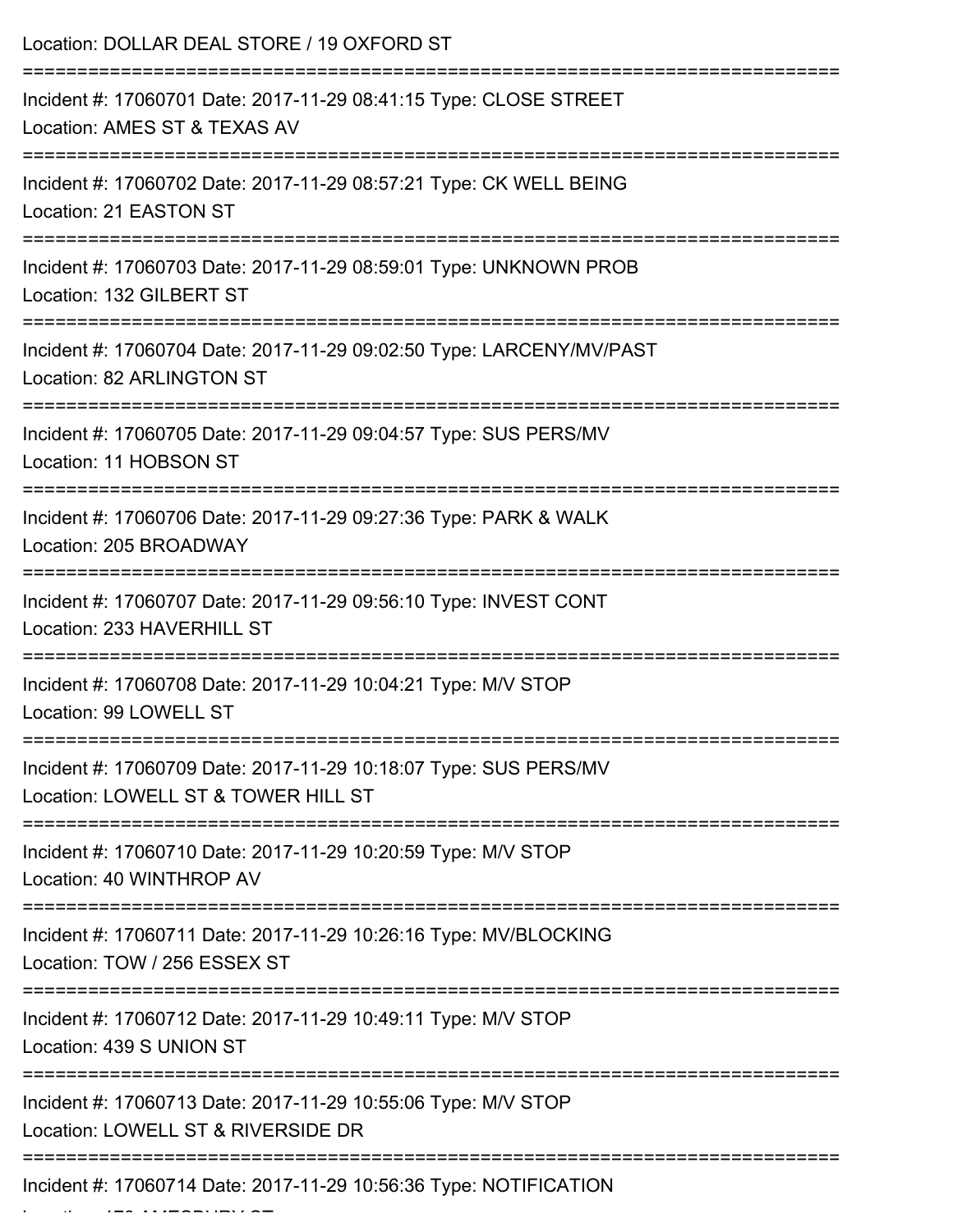| Location: DOLLAR DEAL STORE / 19 OXFORD ST                                                               |
|----------------------------------------------------------------------------------------------------------|
| Incident #: 17060701 Date: 2017-11-29 08:41:15 Type: CLOSE STREET<br>Location: AMES ST & TEXAS AV        |
| Incident #: 17060702 Date: 2017-11-29 08:57:21 Type: CK WELL BEING<br>Location: 21 EASTON ST             |
| Incident #: 17060703 Date: 2017-11-29 08:59:01 Type: UNKNOWN PROB<br>Location: 132 GILBERT ST            |
| Incident #: 17060704 Date: 2017-11-29 09:02:50 Type: LARCENY/MV/PAST<br><b>Location: 82 ARLINGTON ST</b> |
| Incident #: 17060705 Date: 2017-11-29 09:04:57 Type: SUS PERS/MV<br>Location: 11 HOBSON ST               |
| Incident #: 17060706 Date: 2017-11-29 09:27:36 Type: PARK & WALK<br>Location: 205 BROADWAY               |
| Incident #: 17060707 Date: 2017-11-29 09:56:10 Type: INVEST CONT<br>Location: 233 HAVERHILL ST           |
| Incident #: 17060708 Date: 2017-11-29 10:04:21 Type: M/V STOP<br>Location: 99 LOWELL ST                  |
| Incident #: 17060709 Date: 2017-11-29 10:18:07 Type: SUS PERS/MV<br>Location: LOWELL ST & TOWER HILL ST  |
| Incident #: 17060710 Date: 2017-11-29 10:20:59 Type: M/V STOP<br>Location: 40 WINTHROP AV                |
| Incident #: 17060711 Date: 2017-11-29 10:26:16 Type: MV/BLOCKING<br>Location: TOW / 256 ESSEX ST         |
| Incident #: 17060712 Date: 2017-11-29 10:49:11 Type: M/V STOP<br>Location: 439 S UNION ST                |
| Incident #: 17060713 Date: 2017-11-29 10:55:06 Type: M/V STOP<br>Location: LOWELL ST & RIVERSIDE DR      |
| Incident #: 17060714 Date: 2017-11-29 10:56:36 Type: NOTIFICATION                                        |

Location: 170 AMESBURY ST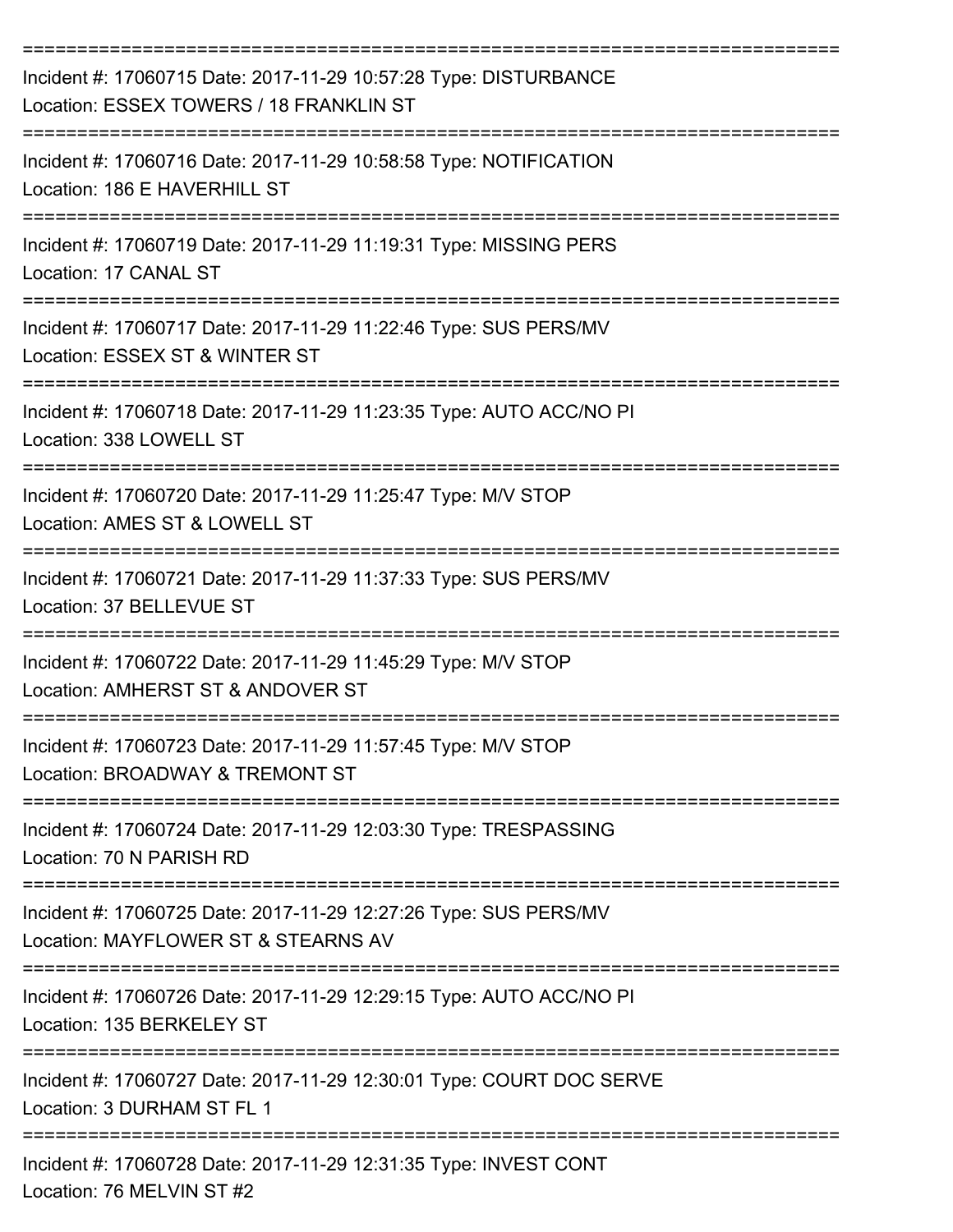| Incident #: 17060715 Date: 2017-11-29 10:57:28 Type: DISTURBANCE<br>Location: ESSEX TOWERS / 18 FRANKLIN ST                 |
|-----------------------------------------------------------------------------------------------------------------------------|
| Incident #: 17060716 Date: 2017-11-29 10:58:58 Type: NOTIFICATION<br>Location: 186 E HAVERHILL ST                           |
| Incident #: 17060719 Date: 2017-11-29 11:19:31 Type: MISSING PERS<br>Location: 17 CANAL ST                                  |
| Incident #: 17060717 Date: 2017-11-29 11:22:46 Type: SUS PERS/MV<br>Location: ESSEX ST & WINTER ST                          |
| Incident #: 17060718 Date: 2017-11-29 11:23:35 Type: AUTO ACC/NO PI<br>Location: 338 LOWELL ST                              |
| Incident #: 17060720 Date: 2017-11-29 11:25:47 Type: M/V STOP<br>Location: AMES ST & LOWELL ST                              |
| Incident #: 17060721 Date: 2017-11-29 11:37:33 Type: SUS PERS/MV<br>Location: 37 BELLEVUE ST                                |
| Incident #: 17060722 Date: 2017-11-29 11:45:29 Type: M/V STOP<br>Location: AMHERST ST & ANDOVER ST                          |
| Incident #: 17060723 Date: 2017-11-29 11:57:45 Type: M/V STOP<br>Location: BROADWAY & TREMONT ST                            |
| ---------------------------<br>Incident #: 17060724 Date: 2017-11-29 12:03:30 Type: TRESPASSING<br>Location: 70 N PARISH RD |
| Incident #: 17060725 Date: 2017-11-29 12:27:26 Type: SUS PERS/MV<br>Location: MAYFLOWER ST & STEARNS AV                     |
| Incident #: 17060726 Date: 2017-11-29 12:29:15 Type: AUTO ACC/NO PI<br>Location: 135 BERKELEY ST                            |
| Incident #: 17060727 Date: 2017-11-29 12:30:01 Type: COURT DOC SERVE<br>Location: 3 DURHAM ST FL 1                          |
| Incident #: 17060728 Date: 2017-11-29 12:31:35 Type: INVEST CONT<br>Location: 76 MELVIN ST #2                               |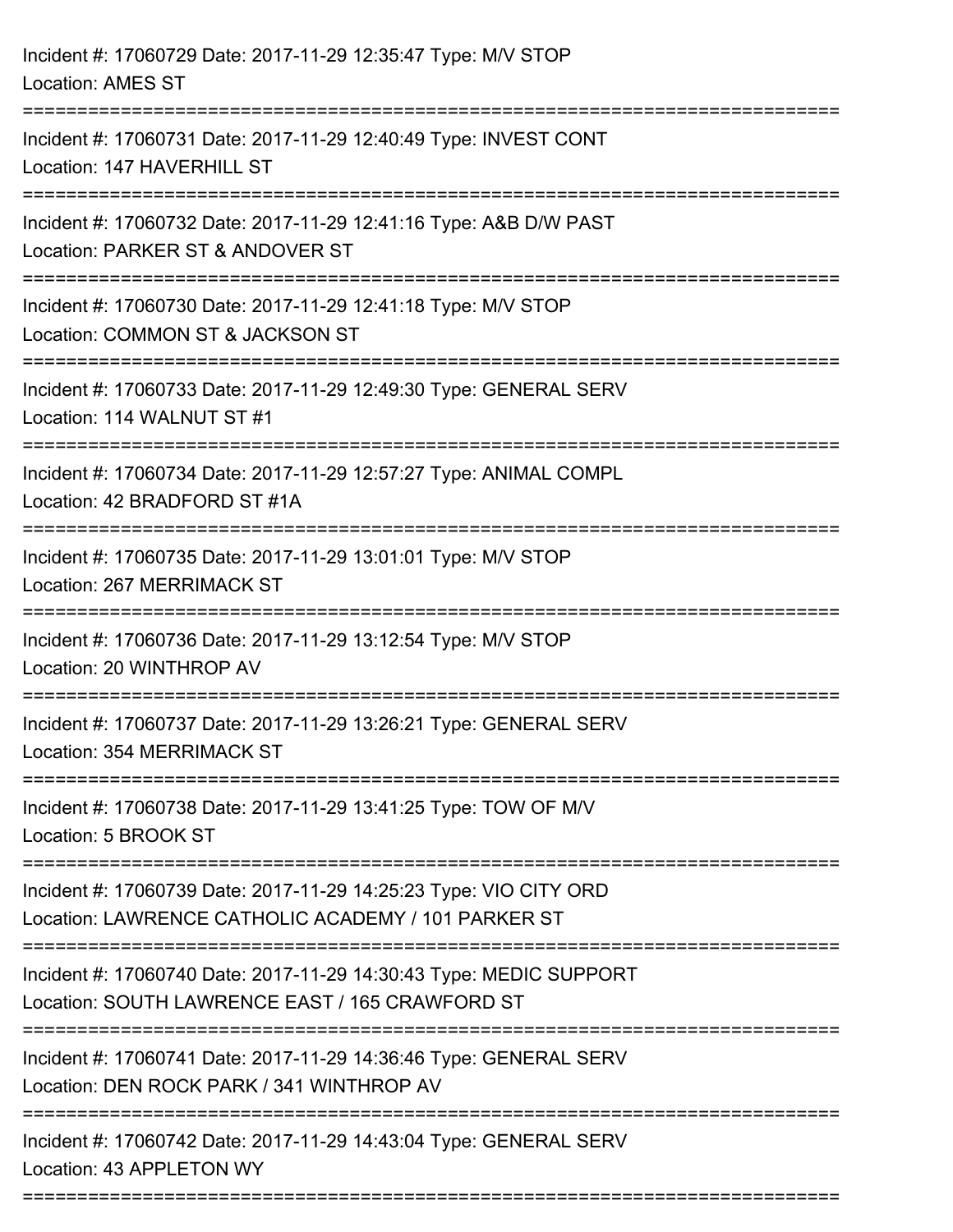| Incident #: 17060729 Date: 2017-11-29 12:35:47 Type: M/V STOP<br><b>Location: AMES ST</b>                                             |
|---------------------------------------------------------------------------------------------------------------------------------------|
| Incident #: 17060731 Date: 2017-11-29 12:40:49 Type: INVEST CONT<br>Location: 147 HAVERHILL ST                                        |
| Incident #: 17060732 Date: 2017-11-29 12:41:16 Type: A&B D/W PAST<br>Location: PARKER ST & ANDOVER ST<br>---------------------------- |
| Incident #: 17060730 Date: 2017-11-29 12:41:18 Type: M/V STOP<br>Location: COMMON ST & JACKSON ST                                     |
| Incident #: 17060733 Date: 2017-11-29 12:49:30 Type: GENERAL SERV<br>Location: 114 WALNUT ST #1                                       |
| Incident #: 17060734 Date: 2017-11-29 12:57:27 Type: ANIMAL COMPL<br>Location: 42 BRADFORD ST #1A                                     |
| Incident #: 17060735 Date: 2017-11-29 13:01:01 Type: M/V STOP<br>Location: 267 MERRIMACK ST                                           |
| Incident #: 17060736 Date: 2017-11-29 13:12:54 Type: M/V STOP<br>Location: 20 WINTHROP AV                                             |
| Incident #: 17060737 Date: 2017-11-29 13:26:21 Type: GENERAL SERV<br>Location: 354 MERRIMACK ST                                       |
| Incident #: 17060738 Date: 2017-11-29 13:41:25 Type: TOW OF M/V<br>Location: 5 BROOK ST                                               |
| Incident #: 17060739 Date: 2017-11-29 14:25:23 Type: VIO CITY ORD<br>Location: LAWRENCE CATHOLIC ACADEMY / 101 PARKER ST              |
| Incident #: 17060740 Date: 2017-11-29 14:30:43 Type: MEDIC SUPPORT<br>Location: SOUTH LAWRENCE EAST / 165 CRAWFORD ST                 |
| Incident #: 17060741 Date: 2017-11-29 14:36:46 Type: GENERAL SERV<br>Location: DEN ROCK PARK / 341 WINTHROP AV                        |
| Incident #: 17060742 Date: 2017-11-29 14:43:04 Type: GENERAL SERV<br>Location: 43 APPLETON WY                                         |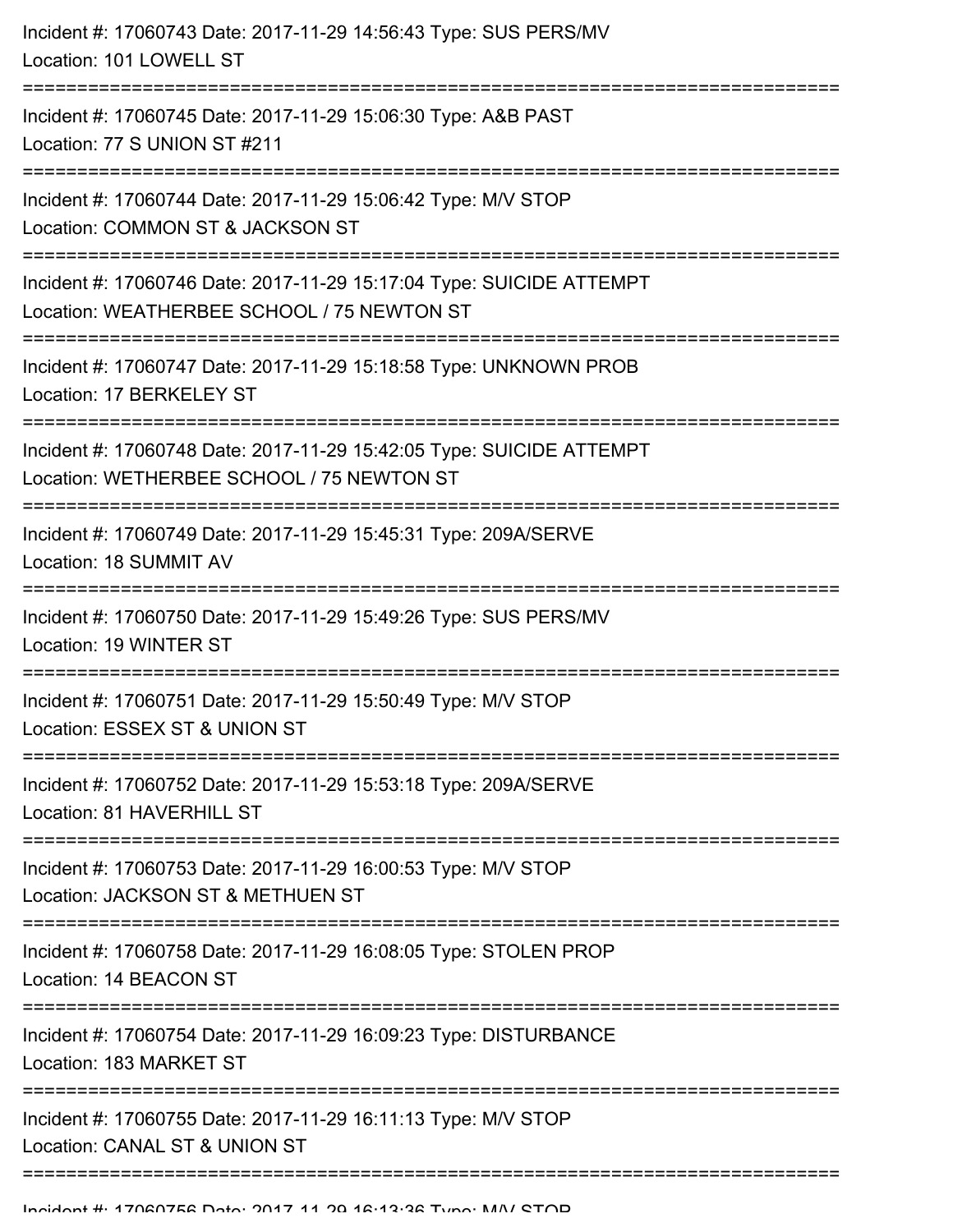| Incident #: 17060743 Date: 2017-11-29 14:56:43 Type: SUS PERS/MV<br>Location: 101 LOWELL ST                                              |
|------------------------------------------------------------------------------------------------------------------------------------------|
| Incident #: 17060745 Date: 2017-11-29 15:06:30 Type: A&B PAST<br>Location: 77 S UNION ST #211                                            |
| Incident #: 17060744 Date: 2017-11-29 15:06:42 Type: M/V STOP<br>Location: COMMON ST & JACKSON ST                                        |
| Incident #: 17060746 Date: 2017-11-29 15:17:04 Type: SUICIDE ATTEMPT<br>Location: WEATHERBEE SCHOOL / 75 NEWTON ST<br>================== |
| Incident #: 17060747 Date: 2017-11-29 15:18:58 Type: UNKNOWN PROB<br>Location: 17 BERKELEY ST                                            |
| Incident #: 17060748 Date: 2017-11-29 15:42:05 Type: SUICIDE ATTEMPT<br>Location: WETHERBEE SCHOOL / 75 NEWTON ST                        |
| Incident #: 17060749 Date: 2017-11-29 15:45:31 Type: 209A/SERVE<br>Location: 18 SUMMIT AV                                                |
| Incident #: 17060750 Date: 2017-11-29 15:49:26 Type: SUS PERS/MV<br>Location: 19 WINTER ST                                               |
| Incident #: 17060751 Date: 2017-11-29 15:50:49 Type: M/V STOP<br>Location: ESSEX ST & UNION ST                                           |
| Incident #: 17060752 Date: 2017-11-29 15:53:18 Type: 209A/SERVE<br>Location: 81 HAVERHILL ST                                             |
| Incident #: 17060753 Date: 2017-11-29 16:00:53 Type: M/V STOP<br>Location: JACKSON ST & METHUEN ST                                       |
| Incident #: 17060758 Date: 2017-11-29 16:08:05 Type: STOLEN PROP<br>Location: 14 BEACON ST                                               |
| Incident #: 17060754 Date: 2017-11-29 16:09:23 Type: DISTURBANCE<br>Location: 183 MARKET ST                                              |
| Incident #: 17060755 Date: 2017-11-29 16:11:13 Type: M/V STOP<br>Location: CANAL ST & UNION ST                                           |
|                                                                                                                                          |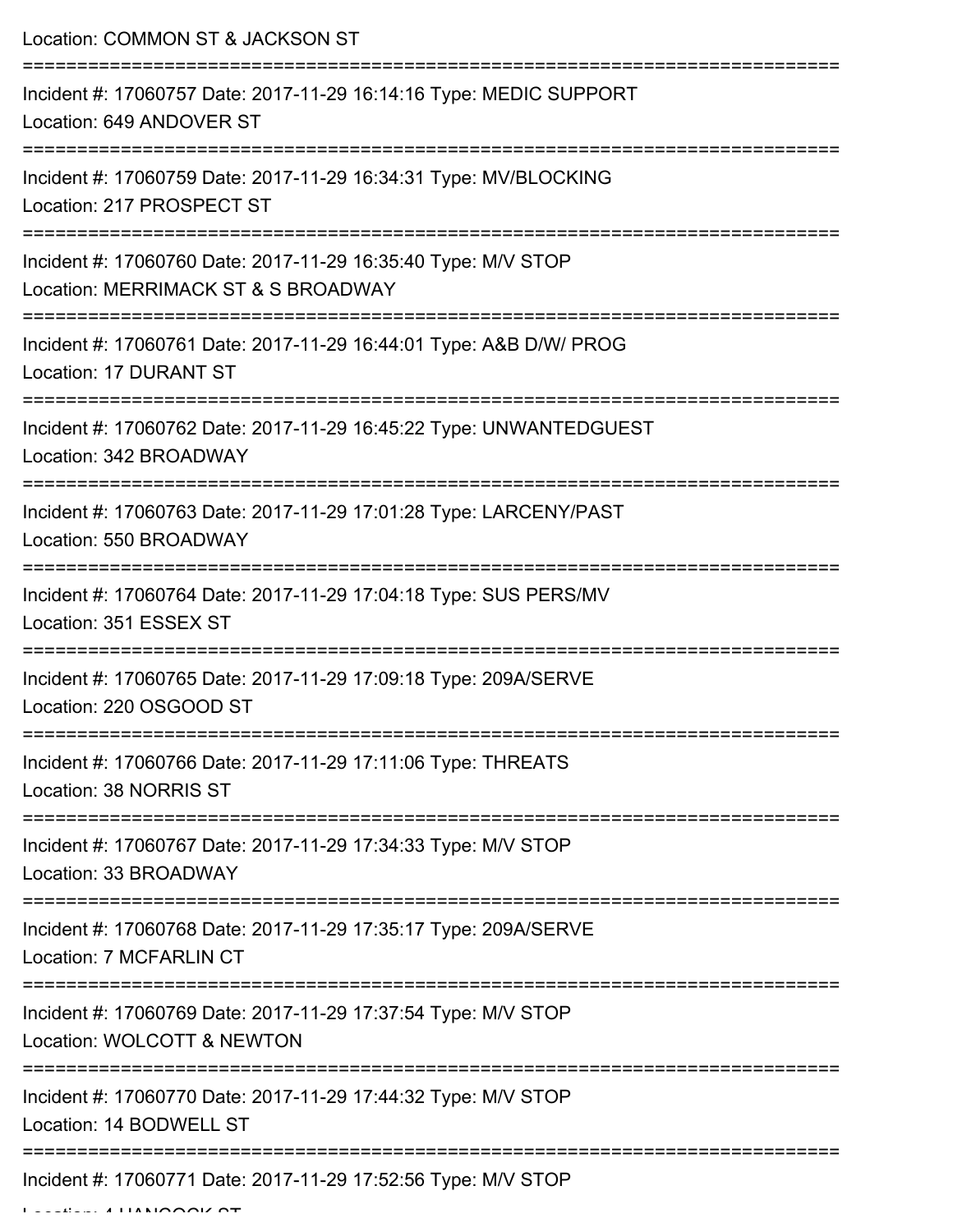Location: COMMON ST & JACKSON ST

| Incident #: 17060757 Date: 2017-11-29 16:14:16 Type: MEDIC SUPPORT<br>Location: 649 ANDOVER ST       |
|------------------------------------------------------------------------------------------------------|
| Incident #: 17060759 Date: 2017-11-29 16:34:31 Type: MV/BLOCKING<br>Location: 217 PROSPECT ST        |
| Incident #: 17060760 Date: 2017-11-29 16:35:40 Type: M/V STOP<br>Location: MERRIMACK ST & S BROADWAY |
| Incident #: 17060761 Date: 2017-11-29 16:44:01 Type: A&B D/W/ PROG<br>Location: 17 DURANT ST         |
| Incident #: 17060762 Date: 2017-11-29 16:45:22 Type: UNWANTEDGUEST<br>Location: 342 BROADWAY         |
| Incident #: 17060763 Date: 2017-11-29 17:01:28 Type: LARCENY/PAST<br>Location: 550 BROADWAY          |
| Incident #: 17060764 Date: 2017-11-29 17:04:18 Type: SUS PERS/MV<br>Location: 351 ESSEX ST           |
| Incident #: 17060765 Date: 2017-11-29 17:09:18 Type: 209A/SERVE<br>Location: 220 OSGOOD ST           |
| Incident #: 17060766 Date: 2017-11-29 17:11:06 Type: THREATS<br>Location: 38 NORRIS ST               |
| Incident #: 17060767 Date: 2017-11-29 17:34:33 Type: M/V STOP<br>Location: 33 BROADWAY               |
| Incident #: 17060768 Date: 2017-11-29 17:35:17 Type: 209A/SERVE<br><b>Location: 7 MCFARLIN CT</b>    |
| Incident #: 17060769 Date: 2017-11-29 17:37:54 Type: M/V STOP<br>Location: WOLCOTT & NEWTON          |
| Incident #: 17060770 Date: 2017-11-29 17:44:32 Type: M/V STOP<br>Location: 14 BODWELL ST             |
| Incident #: 17060771 Date: 2017-11-29 17:52:56 Type: M/V STOP                                        |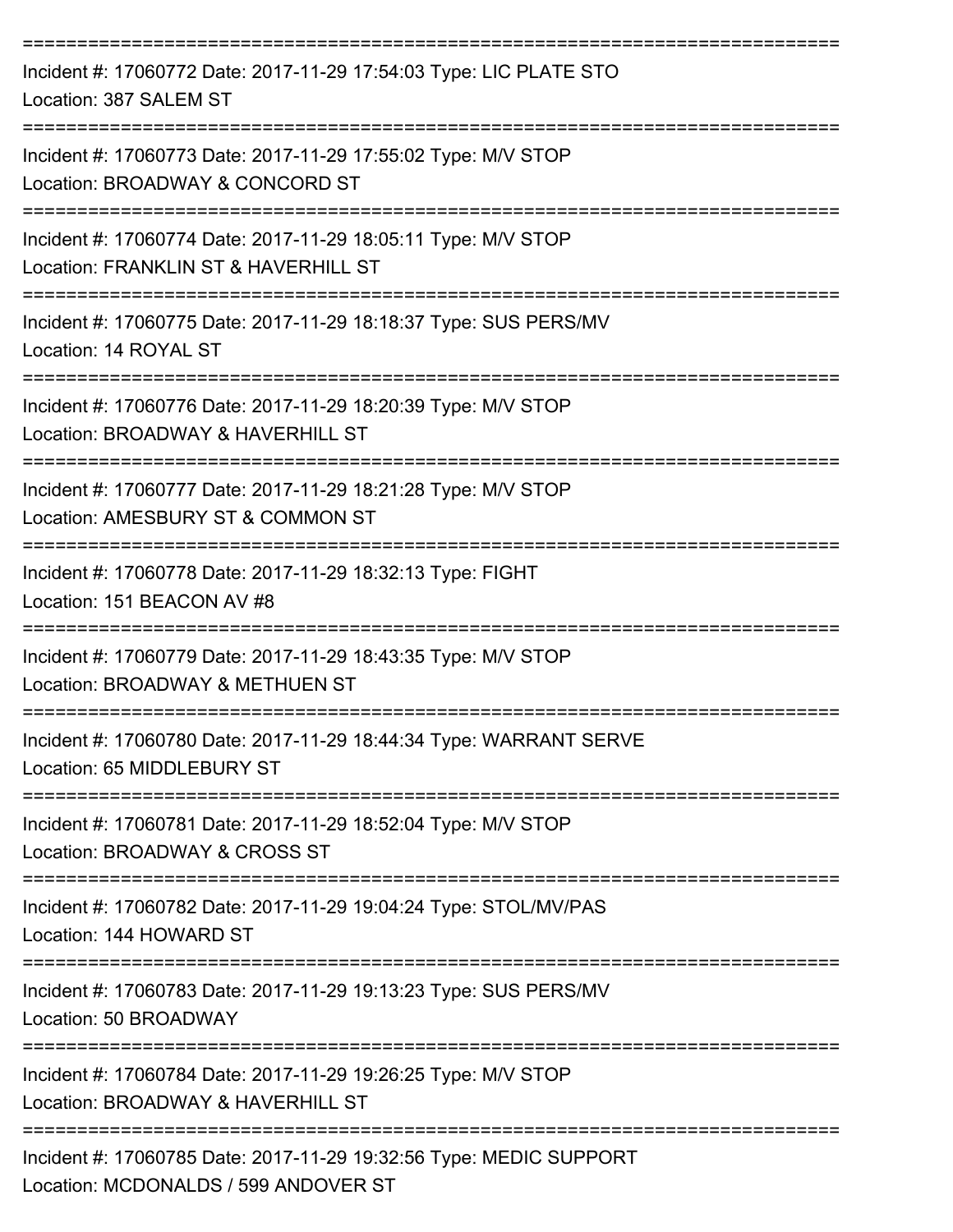| Incident #: 17060772 Date: 2017-11-29 17:54:03 Type: LIC PLATE STO<br>Location: 387 SALEM ST               |
|------------------------------------------------------------------------------------------------------------|
| Incident #: 17060773 Date: 2017-11-29 17:55:02 Type: M/V STOP<br>Location: BROADWAY & CONCORD ST           |
| Incident #: 17060774 Date: 2017-11-29 18:05:11 Type: M/V STOP<br>Location: FRANKLIN ST & HAVERHILL ST      |
| Incident #: 17060775 Date: 2017-11-29 18:18:37 Type: SUS PERS/MV<br>Location: 14 ROYAL ST                  |
| Incident #: 17060776 Date: 2017-11-29 18:20:39 Type: M/V STOP<br>Location: BROADWAY & HAVERHILL ST         |
| Incident #: 17060777 Date: 2017-11-29 18:21:28 Type: M/V STOP<br>Location: AMESBURY ST & COMMON ST         |
| Incident #: 17060778 Date: 2017-11-29 18:32:13 Type: FIGHT<br>Location: 151 BEACON AV #8                   |
| Incident #: 17060779 Date: 2017-11-29 18:43:35 Type: M/V STOP<br>Location: BROADWAY & METHUEN ST           |
| Incident #: 17060780 Date: 2017-11-29 18:44:34 Type: WARRANT SERVE<br>Location: 65 MIDDLEBURY ST           |
| Incident #: 17060781 Date: 2017-11-29 18:52:04 Type: M/V STOP<br>Location: BROADWAY & CROSS ST             |
| Incident #: 17060782 Date: 2017-11-29 19:04:24 Type: STOL/MV/PAS<br>Location: 144 HOWARD ST                |
| Incident #: 17060783 Date: 2017-11-29 19:13:23 Type: SUS PERS/MV<br>Location: 50 BROADWAY                  |
| Incident #: 17060784 Date: 2017-11-29 19:26:25 Type: M/V STOP<br>Location: BROADWAY & HAVERHILL ST         |
| Incident #: 17060785 Date: 2017-11-29 19:32:56 Type: MEDIC SUPPORT<br>Location: MCDONALDS / 599 ANDOVER ST |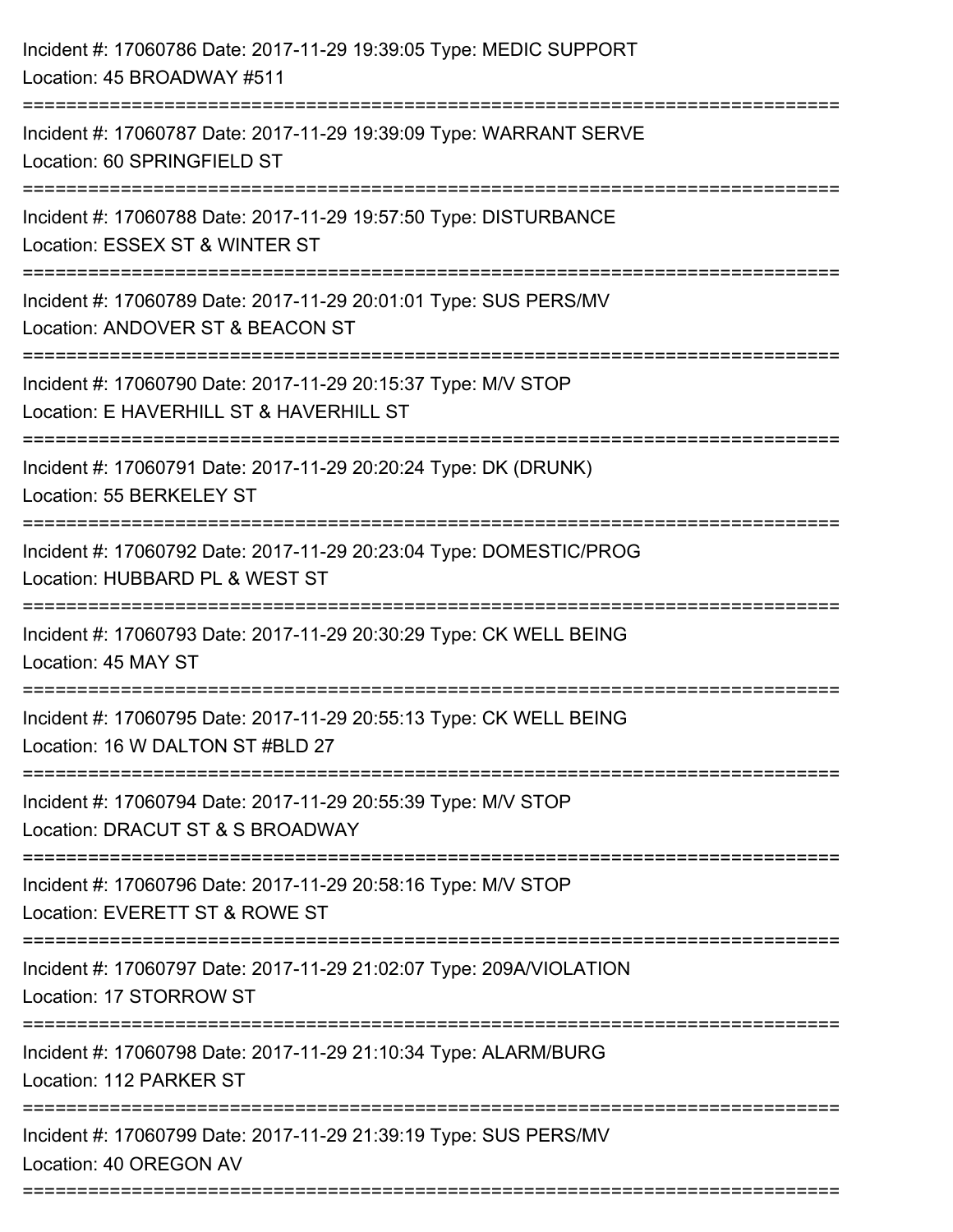| Incident #: 17060786 Date: 2017-11-29 19:39:05 Type: MEDIC SUPPORT<br>Location: 45 BROADWAY #511         |
|----------------------------------------------------------------------------------------------------------|
| Incident #: 17060787 Date: 2017-11-29 19:39:09 Type: WARRANT SERVE<br>Location: 60 SPRINGFIELD ST        |
| Incident #: 17060788 Date: 2017-11-29 19:57:50 Type: DISTURBANCE<br>Location: ESSEX ST & WINTER ST       |
| Incident #: 17060789 Date: 2017-11-29 20:01:01 Type: SUS PERS/MV<br>Location: ANDOVER ST & BEACON ST     |
| Incident #: 17060790 Date: 2017-11-29 20:15:37 Type: M/V STOP<br>Location: E HAVERHILL ST & HAVERHILL ST |
| Incident #: 17060791 Date: 2017-11-29 20:20:24 Type: DK (DRUNK)<br>Location: 55 BERKELEY ST              |
| Incident #: 17060792 Date: 2017-11-29 20:23:04 Type: DOMESTIC/PROG<br>Location: HUBBARD PL & WEST ST     |
| Incident #: 17060793 Date: 2017-11-29 20:30:29 Type: CK WELL BEING<br>Location: 45 MAY ST                |
| Incident #: 17060795 Date: 2017-11-29 20:55:13 Type: CK WELL BEING<br>Location: 16 W DALTON ST #BLD 27   |
| Incident #: 17060794 Date: 2017-11-29 20:55:39 Type: M/V STOP<br>Location: DRACUT ST & S BROADWAY        |
| Incident #: 17060796 Date: 2017-11-29 20:58:16 Type: M/V STOP<br>Location: EVERETT ST & ROWE ST          |
| Incident #: 17060797 Date: 2017-11-29 21:02:07 Type: 209A/VIOLATION<br>Location: 17 STORROW ST           |
| Incident #: 17060798 Date: 2017-11-29 21:10:34 Type: ALARM/BURG<br>Location: 112 PARKER ST               |
| Incident #: 17060799 Date: 2017-11-29 21:39:19 Type: SUS PERS/MV<br>Location: 40 OREGON AV               |